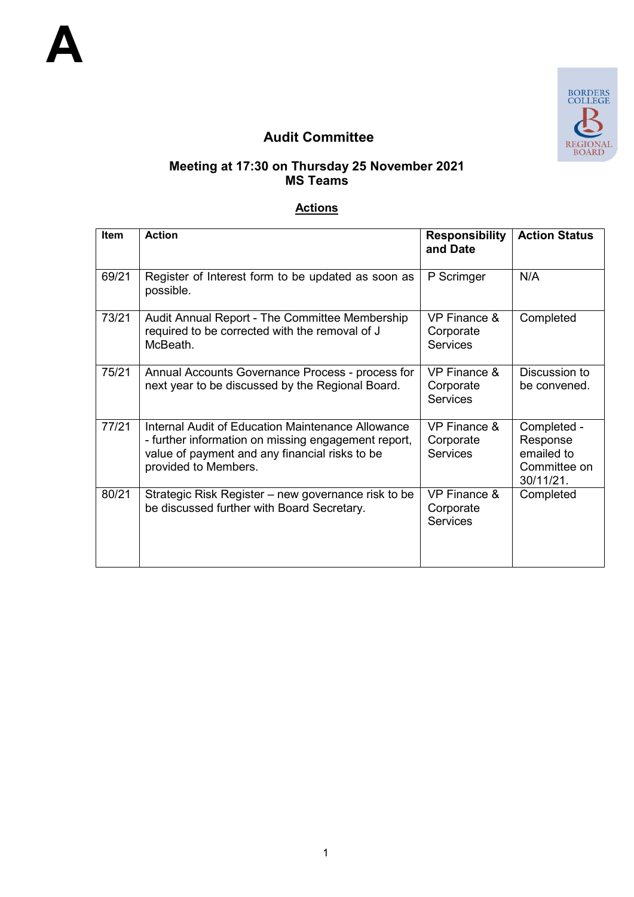

# **Audit Committee**

#### **Meeting at 17:30 on Thursday 25 November 2021 MS Teams**

### **Actions**

| <b>Item</b> | <b>Action</b>                                                                                                                                                                      | <b>Responsibility</b><br>and Date                       | <b>Action Status</b>                                               |
|-------------|------------------------------------------------------------------------------------------------------------------------------------------------------------------------------------|---------------------------------------------------------|--------------------------------------------------------------------|
| 69/21       | Register of Interest form to be updated as soon as<br>possible.                                                                                                                    | P Scrimger                                              | N/A                                                                |
| 73/21       | Audit Annual Report - The Committee Membership<br>required to be corrected with the removal of J<br>McBeath.                                                                       | VP Finance &<br>Corporate<br><b>Services</b>            | Completed                                                          |
| 75/21       | Annual Accounts Governance Process - process for<br>next year to be discussed by the Regional Board.                                                                               | <b>VP Finance &amp;</b><br>Corporate<br><b>Services</b> | Discussion to<br>be convened.                                      |
| 77/21       | Internal Audit of Education Maintenance Allowance<br>- further information on missing engagement report,<br>value of payment and any financial risks to be<br>provided to Members. | <b>VP Finance &amp;</b><br>Corporate<br><b>Services</b> | Completed -<br>Response<br>emailed to<br>Committee on<br>30/11/21. |
| 80/21       | Strategic Risk Register – new governance risk to be<br>be discussed further with Board Secretary.                                                                                  | <b>VP Finance &amp;</b><br>Corporate<br><b>Services</b> | Completed                                                          |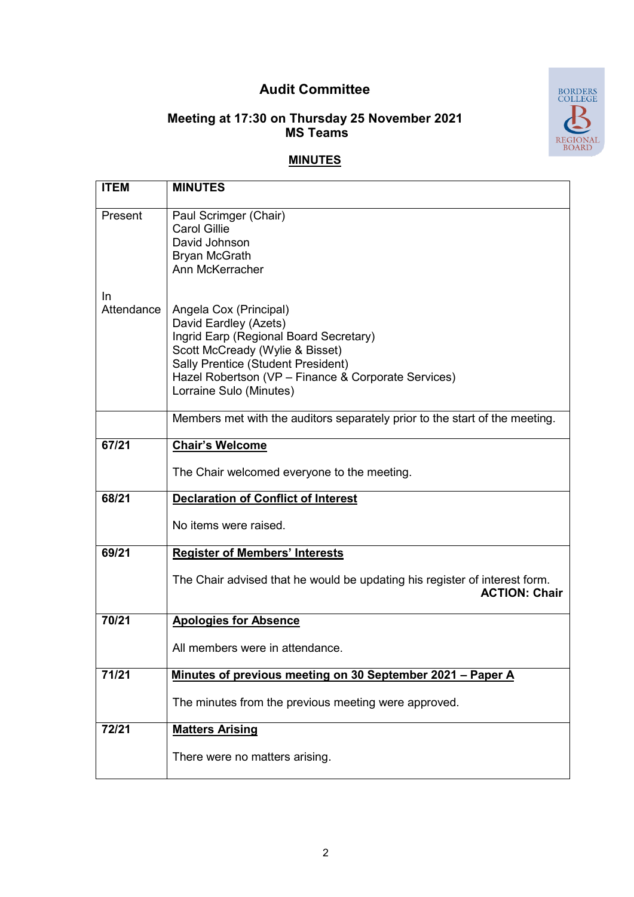## **Audit Committee**



#### **Meeting at 17:30 on Thursday 25 November 2021 MS Teams**

### **MINUTES**

| <b>ITEM</b>             | <b>MINUTES</b>                                                                                                                                                                                                                                       |
|-------------------------|------------------------------------------------------------------------------------------------------------------------------------------------------------------------------------------------------------------------------------------------------|
| Present                 | Paul Scrimger (Chair)<br><b>Carol Gillie</b><br>David Johnson<br><b>Bryan McGrath</b><br>Ann McKerracher                                                                                                                                             |
| <b>In</b><br>Attendance | Angela Cox (Principal)<br>David Eardley (Azets)<br>Ingrid Earp (Regional Board Secretary)<br>Scott McCready (Wylie & Bisset)<br>Sally Prentice (Student President)<br>Hazel Robertson (VP - Finance & Corporate Services)<br>Lorraine Sulo (Minutes) |
|                         | Members met with the auditors separately prior to the start of the meeting.                                                                                                                                                                          |
| 67/21                   | <b>Chair's Welcome</b><br>The Chair welcomed everyone to the meeting.                                                                                                                                                                                |
| 68/21                   | <b>Declaration of Conflict of Interest</b>                                                                                                                                                                                                           |
|                         | No items were raised.                                                                                                                                                                                                                                |
| 69/21                   | <b>Register of Members' Interests</b>                                                                                                                                                                                                                |
|                         | The Chair advised that he would be updating his register of interest form.<br><b>ACTION: Chair</b>                                                                                                                                                   |
| 70/21                   | <b>Apologies for Absence</b>                                                                                                                                                                                                                         |
|                         | All members were in attendance.                                                                                                                                                                                                                      |
| 71/21                   | Minutes of previous meeting on 30 September 2021 - Paper A                                                                                                                                                                                           |
|                         | The minutes from the previous meeting were approved.                                                                                                                                                                                                 |
| 72/21                   | <b>Matters Arising</b>                                                                                                                                                                                                                               |
|                         | There were no matters arising.                                                                                                                                                                                                                       |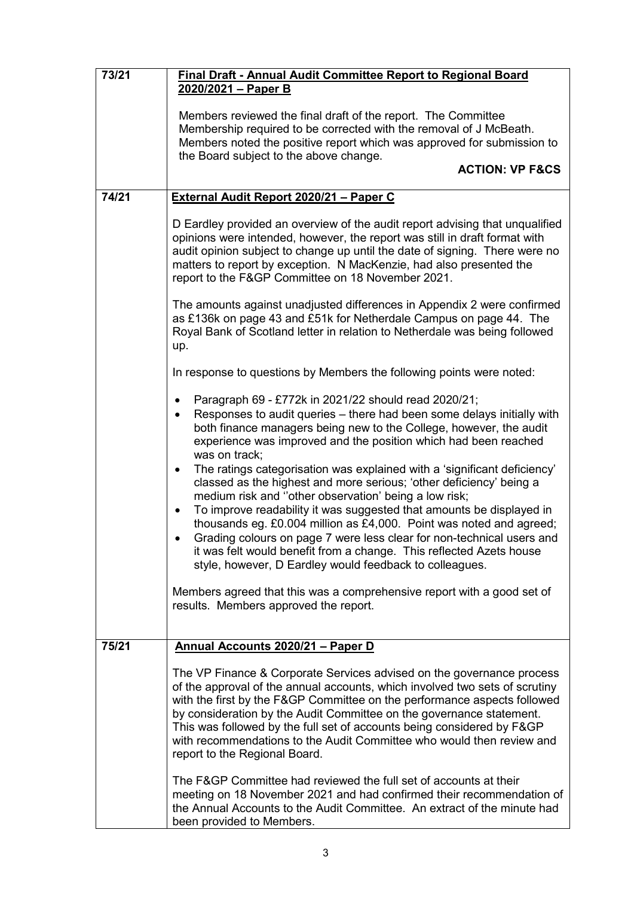| 73/21 | <b>Final Draft - Annual Audit Committee Report to Regional Board</b>                                                                                                                                                                                                                                                                                                                                                                                                                                                                                                                                                                                                                                                                                                                                                                                                                                                                                                                                                                  |  |
|-------|---------------------------------------------------------------------------------------------------------------------------------------------------------------------------------------------------------------------------------------------------------------------------------------------------------------------------------------------------------------------------------------------------------------------------------------------------------------------------------------------------------------------------------------------------------------------------------------------------------------------------------------------------------------------------------------------------------------------------------------------------------------------------------------------------------------------------------------------------------------------------------------------------------------------------------------------------------------------------------------------------------------------------------------|--|
|       | 2020/2021 - Paper B                                                                                                                                                                                                                                                                                                                                                                                                                                                                                                                                                                                                                                                                                                                                                                                                                                                                                                                                                                                                                   |  |
|       | Members reviewed the final draft of the report. The Committee<br>Membership required to be corrected with the removal of J McBeath.<br>Members noted the positive report which was approved for submission to<br>the Board subject to the above change.                                                                                                                                                                                                                                                                                                                                                                                                                                                                                                                                                                                                                                                                                                                                                                               |  |
|       | <b>ACTION: VP F&amp;CS</b>                                                                                                                                                                                                                                                                                                                                                                                                                                                                                                                                                                                                                                                                                                                                                                                                                                                                                                                                                                                                            |  |
| 74/21 | External Audit Report 2020/21 - Paper C                                                                                                                                                                                                                                                                                                                                                                                                                                                                                                                                                                                                                                                                                                                                                                                                                                                                                                                                                                                               |  |
|       | D Eardley provided an overview of the audit report advising that unqualified<br>opinions were intended, however, the report was still in draft format with<br>audit opinion subject to change up until the date of signing. There were no<br>matters to report by exception. N MacKenzie, had also presented the<br>report to the F&GP Committee on 18 November 2021.                                                                                                                                                                                                                                                                                                                                                                                                                                                                                                                                                                                                                                                                 |  |
|       | The amounts against unadjusted differences in Appendix 2 were confirmed<br>as £136k on page 43 and £51k for Netherdale Campus on page 44. The<br>Royal Bank of Scotland letter in relation to Netherdale was being followed<br>up.                                                                                                                                                                                                                                                                                                                                                                                                                                                                                                                                                                                                                                                                                                                                                                                                    |  |
|       | In response to questions by Members the following points were noted:                                                                                                                                                                                                                                                                                                                                                                                                                                                                                                                                                                                                                                                                                                                                                                                                                                                                                                                                                                  |  |
|       | Paragraph 69 - £772k in 2021/22 should read 2020/21;<br>$\bullet$<br>Responses to audit queries - there had been some delays initially with<br>$\bullet$<br>both finance managers being new to the College, however, the audit<br>experience was improved and the position which had been reached<br>was on track;<br>The ratings categorisation was explained with a 'significant deficiency'<br>$\bullet$<br>classed as the highest and more serious; 'other deficiency' being a<br>medium risk and "other observation' being a low risk;<br>To improve readability it was suggested that amounts be displayed in<br>$\bullet$<br>thousands eg. £0.004 million as £4,000. Point was noted and agreed;<br>Grading colours on page 7 were less clear for non-technical users and<br>it was felt would benefit from a change. This reflected Azets house<br>style, however, D Eardley would feedback to colleagues.<br>Members agreed that this was a comprehensive report with a good set of<br>results. Members approved the report. |  |
| 75/21 | Annual Accounts 2020/21 - Paper D                                                                                                                                                                                                                                                                                                                                                                                                                                                                                                                                                                                                                                                                                                                                                                                                                                                                                                                                                                                                     |  |
|       | The VP Finance & Corporate Services advised on the governance process<br>of the approval of the annual accounts, which involved two sets of scrutiny<br>with the first by the F&GP Committee on the performance aspects followed<br>by consideration by the Audit Committee on the governance statement.<br>This was followed by the full set of accounts being considered by F&GP<br>with recommendations to the Audit Committee who would then review and<br>report to the Regional Board.                                                                                                                                                                                                                                                                                                                                                                                                                                                                                                                                          |  |
|       | The F&GP Committee had reviewed the full set of accounts at their<br>meeting on 18 November 2021 and had confirmed their recommendation of<br>the Annual Accounts to the Audit Committee. An extract of the minute had<br>been provided to Members.                                                                                                                                                                                                                                                                                                                                                                                                                                                                                                                                                                                                                                                                                                                                                                                   |  |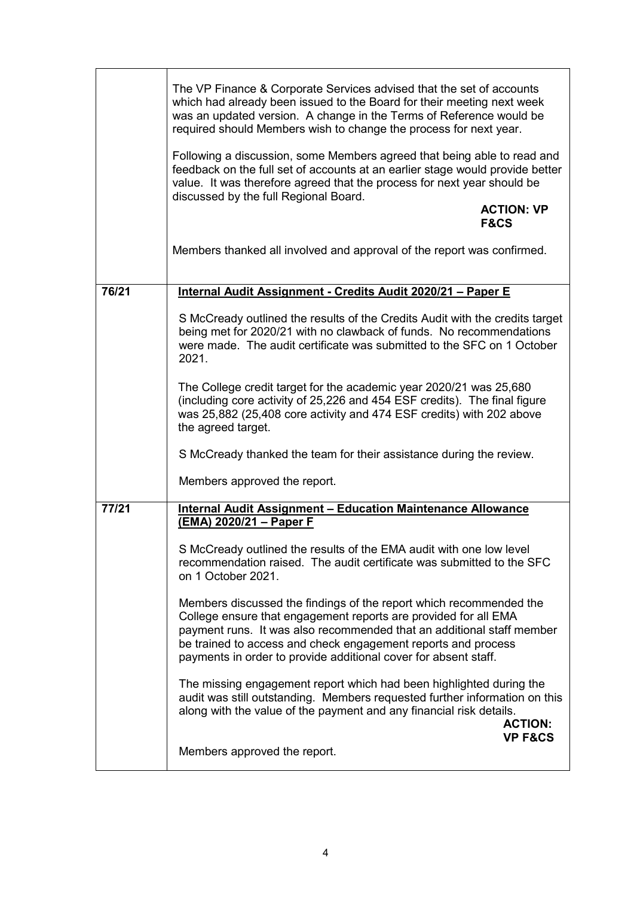|       | The VP Finance & Corporate Services advised that the set of accounts<br>which had already been issued to the Board for their meeting next week<br>was an updated version. A change in the Terms of Reference would be<br>required should Members wish to change the process for next year.<br>Following a discussion, some Members agreed that being able to read and |
|-------|-----------------------------------------------------------------------------------------------------------------------------------------------------------------------------------------------------------------------------------------------------------------------------------------------------------------------------------------------------------------------|
|       | feedback on the full set of accounts at an earlier stage would provide better<br>value. It was therefore agreed that the process for next year should be<br>discussed by the full Regional Board.<br><b>ACTION: VP</b><br><b>F&amp;CS</b>                                                                                                                             |
|       | Members thanked all involved and approval of the report was confirmed.                                                                                                                                                                                                                                                                                                |
| 76/21 | Internal Audit Assignment - Credits Audit 2020/21 - Paper E                                                                                                                                                                                                                                                                                                           |
|       | S McCready outlined the results of the Credits Audit with the credits target<br>being met for 2020/21 with no clawback of funds. No recommendations<br>were made. The audit certificate was submitted to the SFC on 1 October<br>2021.                                                                                                                                |
|       | The College credit target for the academic year 2020/21 was 25,680<br>(including core activity of 25,226 and 454 ESF credits). The final figure<br>was 25,882 (25,408 core activity and 474 ESF credits) with 202 above<br>the agreed target.                                                                                                                         |
|       | S McCready thanked the team for their assistance during the review.                                                                                                                                                                                                                                                                                                   |
|       | Members approved the report.                                                                                                                                                                                                                                                                                                                                          |
| 77/21 | <b>Internal Audit Assignment - Education Maintenance Allowance</b><br>(EMA) 2020/21 - Paper F                                                                                                                                                                                                                                                                         |
|       | S McCready outlined the results of the EMA audit with one low level<br>recommendation raised. The audit certificate was submitted to the SFC<br>on 1 October 2021.                                                                                                                                                                                                    |
|       | Members discussed the findings of the report which recommended the<br>College ensure that engagement reports are provided for all EMA<br>payment runs. It was also recommended that an additional staff member<br>be trained to access and check engagement reports and process<br>payments in order to provide additional cover for absent staff.                    |
|       | The missing engagement report which had been highlighted during the<br>audit was still outstanding. Members requested further information on this<br>along with the value of the payment and any financial risk details.<br><b>ACTION:</b><br><b>VP F&amp;CS</b>                                                                                                      |
|       | Members approved the report.                                                                                                                                                                                                                                                                                                                                          |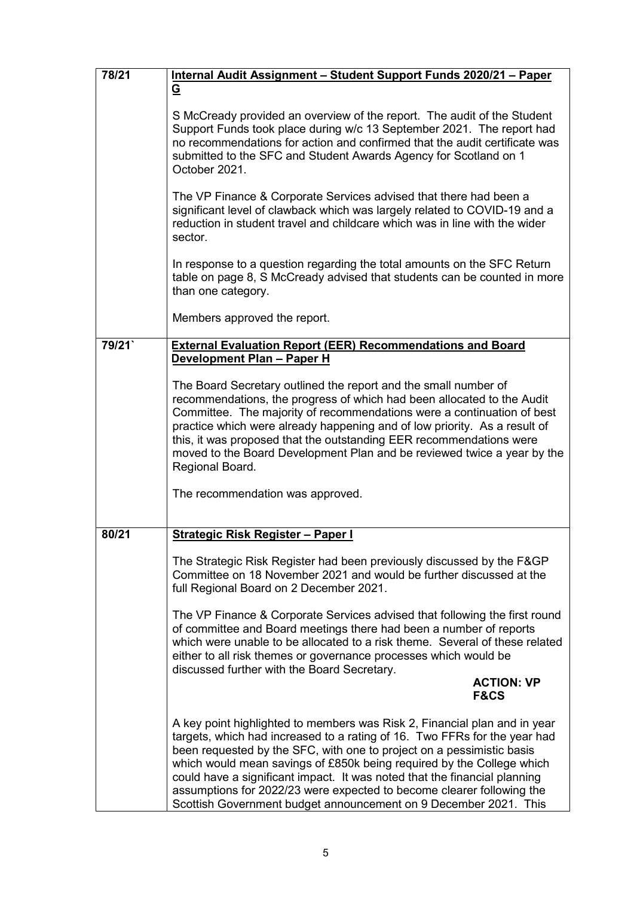| 78/21 | Internal Audit Assignment - Student Support Funds 2020/21 - Paper                                                                                                                                                                                                                                                                                                                                                                                                                                                                  |
|-------|------------------------------------------------------------------------------------------------------------------------------------------------------------------------------------------------------------------------------------------------------------------------------------------------------------------------------------------------------------------------------------------------------------------------------------------------------------------------------------------------------------------------------------|
|       | <u>ତ</u>                                                                                                                                                                                                                                                                                                                                                                                                                                                                                                                           |
|       | S McCready provided an overview of the report. The audit of the Student<br>Support Funds took place during w/c 13 September 2021. The report had<br>no recommendations for action and confirmed that the audit certificate was<br>submitted to the SFC and Student Awards Agency for Scotland on 1<br>October 2021.                                                                                                                                                                                                                |
|       | The VP Finance & Corporate Services advised that there had been a<br>significant level of clawback which was largely related to COVID-19 and a<br>reduction in student travel and childcare which was in line with the wider<br>sector.                                                                                                                                                                                                                                                                                            |
|       | In response to a question regarding the total amounts on the SFC Return<br>table on page 8, S McCready advised that students can be counted in more<br>than one category.                                                                                                                                                                                                                                                                                                                                                          |
|       | Members approved the report.                                                                                                                                                                                                                                                                                                                                                                                                                                                                                                       |
| 79/21 | <b>External Evaluation Report (EER) Recommendations and Board</b><br>Development Plan - Paper H                                                                                                                                                                                                                                                                                                                                                                                                                                    |
|       | The Board Secretary outlined the report and the small number of<br>recommendations, the progress of which had been allocated to the Audit<br>Committee. The majority of recommendations were a continuation of best<br>practice which were already happening and of low priority. As a result of<br>this, it was proposed that the outstanding EER recommendations were<br>moved to the Board Development Plan and be reviewed twice a year by the<br>Regional Board.                                                              |
|       | The recommendation was approved.                                                                                                                                                                                                                                                                                                                                                                                                                                                                                                   |
| 80/21 | <b>Strategic Risk Register - Paper I</b>                                                                                                                                                                                                                                                                                                                                                                                                                                                                                           |
|       | The Strategic Risk Register had been previously discussed by the F&GP<br>Committee on 18 November 2021 and would be further discussed at the<br>full Regional Board on 2 December 2021.                                                                                                                                                                                                                                                                                                                                            |
|       | The VP Finance & Corporate Services advised that following the first round<br>of committee and Board meetings there had been a number of reports<br>which were unable to be allocated to a risk theme. Several of these related<br>either to all risk themes or governance processes which would be<br>discussed further with the Board Secretary.                                                                                                                                                                                 |
|       | <b>ACTION: VP</b><br><b>F&amp;CS</b>                                                                                                                                                                                                                                                                                                                                                                                                                                                                                               |
|       | A key point highlighted to members was Risk 2, Financial plan and in year<br>targets, which had increased to a rating of 16. Two FFRs for the year had<br>been requested by the SFC, with one to project on a pessimistic basis<br>which would mean savings of £850k being required by the College which<br>could have a significant impact. It was noted that the financial planning<br>assumptions for 2022/23 were expected to become clearer following the<br>Scottish Government budget announcement on 9 December 2021. This |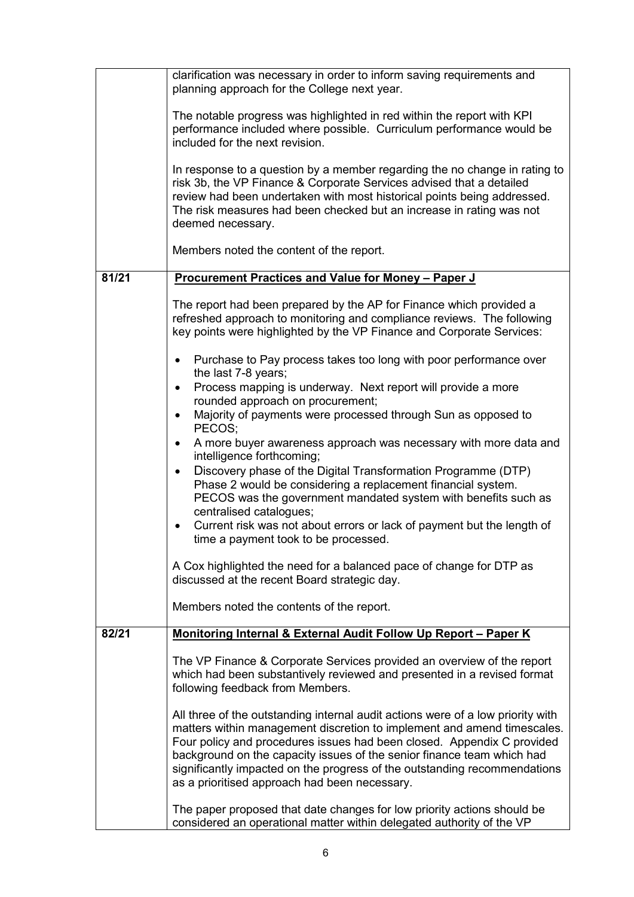|       | clarification was necessary in order to inform saving requirements and<br>planning approach for the College next year.                                                                                                                                                                                                                                                                                                                       |
|-------|----------------------------------------------------------------------------------------------------------------------------------------------------------------------------------------------------------------------------------------------------------------------------------------------------------------------------------------------------------------------------------------------------------------------------------------------|
|       | The notable progress was highlighted in red within the report with KPI<br>performance included where possible. Curriculum performance would be<br>included for the next revision.                                                                                                                                                                                                                                                            |
|       | In response to a question by a member regarding the no change in rating to<br>risk 3b, the VP Finance & Corporate Services advised that a detailed<br>review had been undertaken with most historical points being addressed.<br>The risk measures had been checked but an increase in rating was not<br>deemed necessary.                                                                                                                   |
|       | Members noted the content of the report.                                                                                                                                                                                                                                                                                                                                                                                                     |
| 81/21 | <b>Procurement Practices and Value for Money - Paper J</b>                                                                                                                                                                                                                                                                                                                                                                                   |
|       | The report had been prepared by the AP for Finance which provided a<br>refreshed approach to monitoring and compliance reviews. The following<br>key points were highlighted by the VP Finance and Corporate Services:                                                                                                                                                                                                                       |
|       | Purchase to Pay process takes too long with poor performance over<br>$\bullet$<br>the last 7-8 years;                                                                                                                                                                                                                                                                                                                                        |
|       | Process mapping is underway. Next report will provide a more<br>$\bullet$                                                                                                                                                                                                                                                                                                                                                                    |
|       | rounded approach on procurement;<br>Majority of payments were processed through Sun as opposed to<br>$\bullet$                                                                                                                                                                                                                                                                                                                               |
|       | PECOS;                                                                                                                                                                                                                                                                                                                                                                                                                                       |
|       | A more buyer awareness approach was necessary with more data and<br>$\bullet$<br>intelligence forthcoming;                                                                                                                                                                                                                                                                                                                                   |
|       | Discovery phase of the Digital Transformation Programme (DTP)<br>$\bullet$<br>Phase 2 would be considering a replacement financial system.<br>PECOS was the government mandated system with benefits such as<br>centralised catalogues;<br>Current risk was not about errors or lack of payment but the length of<br>time a payment took to be processed.                                                                                    |
|       | A Cox highlighted the need for a balanced pace of change for DTP as<br>discussed at the recent Board strategic day.                                                                                                                                                                                                                                                                                                                          |
|       | Members noted the contents of the report.                                                                                                                                                                                                                                                                                                                                                                                                    |
| 82/21 | Monitoring Internal & External Audit Follow Up Report - Paper K                                                                                                                                                                                                                                                                                                                                                                              |
|       | The VP Finance & Corporate Services provided an overview of the report<br>which had been substantively reviewed and presented in a revised format<br>following feedback from Members.                                                                                                                                                                                                                                                        |
|       | All three of the outstanding internal audit actions were of a low priority with<br>matters within management discretion to implement and amend timescales.<br>Four policy and procedures issues had been closed. Appendix C provided<br>background on the capacity issues of the senior finance team which had<br>significantly impacted on the progress of the outstanding recommendations<br>as a prioritised approach had been necessary. |
|       | The paper proposed that date changes for low priority actions should be<br>considered an operational matter within delegated authority of the VP                                                                                                                                                                                                                                                                                             |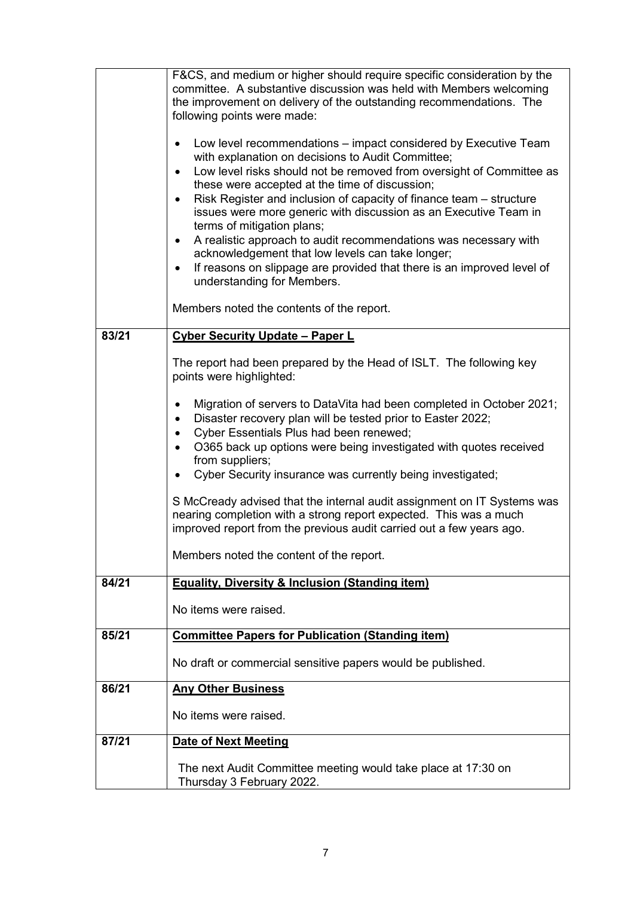|       | F&CS, and medium or higher should require specific consideration by the<br>committee. A substantive discussion was held with Members welcoming<br>the improvement on delivery of the outstanding recommendations. The<br>following points were made:<br>Low level recommendations – impact considered by Executive Team<br>$\bullet$<br>with explanation on decisions to Audit Committee;<br>Low level risks should not be removed from oversight of Committee as<br>$\bullet$<br>these were accepted at the time of discussion;<br>Risk Register and inclusion of capacity of finance team - structure<br>$\bullet$<br>issues were more generic with discussion as an Executive Team in<br>terms of mitigation plans;<br>A realistic approach to audit recommendations was necessary with<br>$\bullet$<br>acknowledgement that low levels can take longer;<br>If reasons on slippage are provided that there is an improved level of<br>$\bullet$<br>understanding for Members.<br>Members noted the contents of the report. |
|-------|-------------------------------------------------------------------------------------------------------------------------------------------------------------------------------------------------------------------------------------------------------------------------------------------------------------------------------------------------------------------------------------------------------------------------------------------------------------------------------------------------------------------------------------------------------------------------------------------------------------------------------------------------------------------------------------------------------------------------------------------------------------------------------------------------------------------------------------------------------------------------------------------------------------------------------------------------------------------------------------------------------------------------------|
| 83/21 | <b>Cyber Security Update - Paper L</b>                                                                                                                                                                                                                                                                                                                                                                                                                                                                                                                                                                                                                                                                                                                                                                                                                                                                                                                                                                                        |
|       | The report had been prepared by the Head of ISLT. The following key<br>points were highlighted:                                                                                                                                                                                                                                                                                                                                                                                                                                                                                                                                                                                                                                                                                                                                                                                                                                                                                                                               |
|       | Migration of servers to DataVita had been completed in October 2021;<br>$\bullet$<br>Disaster recovery plan will be tested prior to Easter 2022;<br>$\bullet$<br>Cyber Essentials Plus had been renewed;<br>$\bullet$<br>O365 back up options were being investigated with quotes received<br>$\bullet$<br>from suppliers;<br>Cyber Security insurance was currently being investigated;                                                                                                                                                                                                                                                                                                                                                                                                                                                                                                                                                                                                                                      |
|       | S McCready advised that the internal audit assignment on IT Systems was<br>nearing completion with a strong report expected. This was a much<br>improved report from the previous audit carried out a few years ago.                                                                                                                                                                                                                                                                                                                                                                                                                                                                                                                                                                                                                                                                                                                                                                                                          |
|       | Members noted the content of the report.                                                                                                                                                                                                                                                                                                                                                                                                                                                                                                                                                                                                                                                                                                                                                                                                                                                                                                                                                                                      |
| 84/21 | <b>Equality, Diversity &amp; Inclusion (Standing item)</b>                                                                                                                                                                                                                                                                                                                                                                                                                                                                                                                                                                                                                                                                                                                                                                                                                                                                                                                                                                    |
|       | No items were raised.                                                                                                                                                                                                                                                                                                                                                                                                                                                                                                                                                                                                                                                                                                                                                                                                                                                                                                                                                                                                         |
| 85/21 | <b>Committee Papers for Publication (Standing item)</b>                                                                                                                                                                                                                                                                                                                                                                                                                                                                                                                                                                                                                                                                                                                                                                                                                                                                                                                                                                       |
|       | No draft or commercial sensitive papers would be published.                                                                                                                                                                                                                                                                                                                                                                                                                                                                                                                                                                                                                                                                                                                                                                                                                                                                                                                                                                   |
| 86/21 | <b>Any Other Business</b>                                                                                                                                                                                                                                                                                                                                                                                                                                                                                                                                                                                                                                                                                                                                                                                                                                                                                                                                                                                                     |
|       | No items were raised.                                                                                                                                                                                                                                                                                                                                                                                                                                                                                                                                                                                                                                                                                                                                                                                                                                                                                                                                                                                                         |
| 87/21 | <b>Date of Next Meeting</b>                                                                                                                                                                                                                                                                                                                                                                                                                                                                                                                                                                                                                                                                                                                                                                                                                                                                                                                                                                                                   |
|       | The next Audit Committee meeting would take place at 17:30 on<br>Thursday 3 February 2022.                                                                                                                                                                                                                                                                                                                                                                                                                                                                                                                                                                                                                                                                                                                                                                                                                                                                                                                                    |